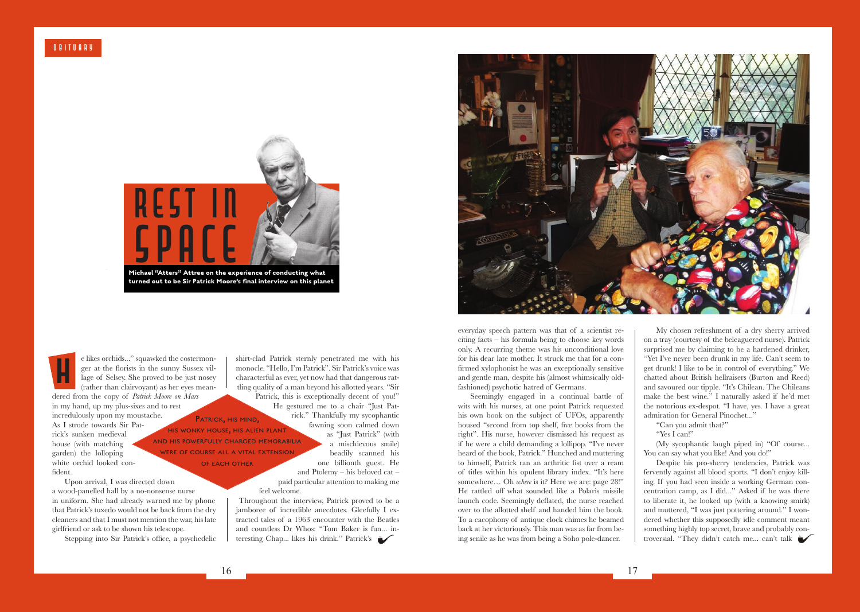

**turned out to be Sir Patrick Moore's final interview on this planet**

e likes orchids..." squawked the costermonger at the florists in the sunny Sussex village of Selsey. She proved to be just nosey (rather than clairvoyant) as her eyes meanger at the florists in the sunny Susse<br>
lage of Selsey. She proved to be just<br>
(rather than clairvoyant) as her eyes r<br>
dered from the copy of *Patrick Moore on Mars* in my hand, up my plus-sixes and to rest incredulously upon my moustache. As I strode towards Sir Patrick's sunken medieval house (with matching garden) the lolloping white orchid looked confident.

Upon arrival, I was directed down a wood-panelled hall by a no-nonsense nurse in uniform. She had already warned me by phone that Patrick's tuxedo would not be back from the dry cleaners and that I must not mention the war, his late girlfriend or ask to be shown his telescope.

Stepping into Sir Patrick's office, a psychedelic

shirt-clad Patrick sternly penetrated me with his monocle. "Hello, I'm Patrick". Sir Patrick's voice was characterful as ever, yet now had that dangerous rattling quality of a man beyond his allotted years. "Sir Patrick, this is exceptionally decent of you!" He gestured me to a chair "Just Patrick." Thankfully my sycophantic fawning soon calmed down as "Just Patrick" (with a mischievous smile) beadily scanned his one billionth guest. He and Ptolemy – his beloved cat – paid particular attention to making me feel welcome. PATRICK, HIS MIND, his wonky house, his alien plant and his powerfully charged memorabilia were of course all a vital extension of each other

> Throughout the interview, Patrick proved to be a jamboree of incredible anecdotes. Gleefully I extracted tales of a 1963 encounter with the Beatles and countless Dr Whos: "Tom Baker is fun... interesting Chap... likes his drink." Patrick's



everyday speech pattern was that of a scientist reciting facts – his formula being to choose key words only. A recurring theme was his unconditional love for his dear late mother. It struck me that for a confirmed xylophonist he was an exceptionally sensitive and gentle man, despite his (almost whimsically oldfashioned) psychotic hatred of Germans.

Seemingly engaged in a continual battle of wits with his nurses, at one point Patrick requested his own book on the subject of UFOs, apparently housed "second from top shelf, five books from the right". His nurse, however dismissed his request as if he were a child demanding a lollipop. "I've never heard of the book, Patrick." Hunched and muttering to himself, Patrick ran an arthritic fist over a ream of titles within his opulent library index. "It's here somewhere… Oh *where* is it? Here we are: page 28!" He rattled off what sounded like a Polaris missile launch code. Seemingly deflated, the nurse reached over to the allotted shelf and handed him the book. To a cacophony of antique clock chimes he beamed back at her victoriously. This man was as far from being senile as he was from being a Soho pole-dancer.

My chosen refreshment of a dry sherry arrived on a tray (courtesy of the beleaguered nurse). Patrick surprised me by claiming to be a hardened drinker, "Yet I've never been drunk in my life. Can't seem to get drunk! I like to be in control of everything." We chatted about British hellraisers (Burton and Reed) and savoured our tipple. "It's Chilean. The Chileans make the best wine." I naturally asked if he'd met the notorious ex-despot. "I have, yes. I have a great admiration for General Pinochet..."

- "Can you admit that?"
- "Yes I can!"

(My sycophantic laugh piped in) "Of course... You can say what you like! And you do!"

Despite his pro-sherry tendencies, Patrick was fervently against all blood sports. "I don't enjoy killing. If you had seen inside a working German concentration camp, as I did..." Asked if he was there to liberate it, he looked up (with a knowing smirk) and muttered, "I was just pottering around." I wondered whether this supposedly idle comment meant something highly top secret, brave and probably controversial. "They didn't catch me... can't talk